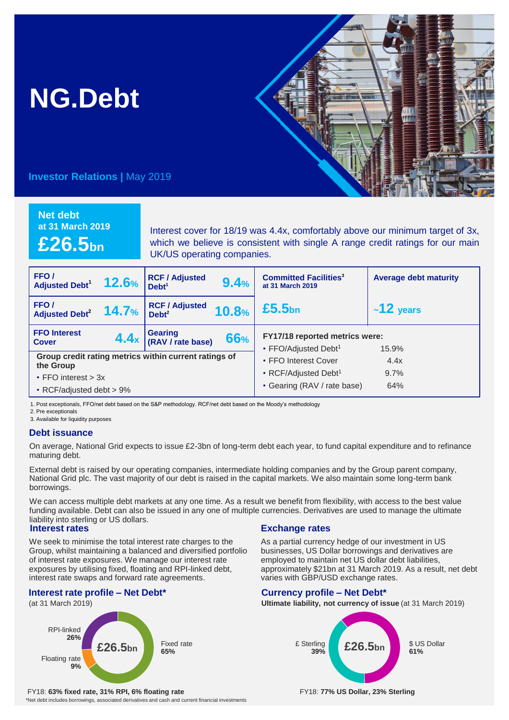# **NG.Debt**

## **Investor Relations |** May 2019

# **Net debt at 31 March 2019 £26.5bn**

Interest cover for 18/19 was 4.4x, comfortably above our minimum target of 3x, which we believe is consistent with single A range credit ratings for our main UK/US operating companies.

| FFO <sub>I</sub><br><b>Adjusted Debt<sup>1</sup></b>               | 12.6% | <b>RCF / Adjusted</b><br>Debt <sup>1</sup> | 9.4%  | <b>Committed Facilities<sup>3</sup></b><br>at 31 March 2019 | <b>Average debt maturity</b> |
|--------------------------------------------------------------------|-------|--------------------------------------------|-------|-------------------------------------------------------------|------------------------------|
| FFO/<br><b>Adjusted Debt<sup>2</sup></b>                           | 14.7% | <b>RCF / Adjusted</b><br>Debt <sup>2</sup> | 10.8% | £5.5 <sub>bn</sub>                                          | $~12$ years                  |
| <b>FFO Interest</b><br><b>Cover</b>                                | 4.4x  | Gearing<br>(RAV / rate base)<br>66%        |       | FY17/18 reported metrics were:                              |                              |
|                                                                    |       |                                            |       | • FFO/Adjusted Debt <sup>1</sup>                            | 15.9%                        |
| Group credit rating metrics within current ratings of<br>the Group |       |                                            |       | • FFO Interest Cover                                        | 4.4x                         |
|                                                                    |       |                                            |       |                                                             |                              |
| $\cdot$ FFO interest $> 3x$                                        |       |                                            |       | • RCF/Adjusted Debt <sup>1</sup>                            | $9.7\%$                      |
|                                                                    |       |                                            |       | • Gearing (RAV / rate base)                                 | 64%                          |
| • RCF/adjusted debt $> 9\%$                                        |       |                                            |       |                                                             |                              |

1. Post exceptionals, FFO/net debt based on the S&P methodology. RCF/net debt based on the Moody's methodology

2. Pre exceptionals

3. Available for liquidity purposes

#### **Debt issuance**

On average, National Grid expects to issue £2-3bn of long-term debt each year, to fund capital expenditure and to refinance maturing debt.

External debt is raised by our operating companies, intermediate holding companies and by the Group parent company, National Grid plc. The vast majority of our debt is raised in the capital markets. We also maintain some long-term bank borrowings.

We can access multiple debt markets at any one time. As a result we benefit from flexibility, with access to the best value funding available. Debt can also be issued in any one of multiple currencies. Derivatives are used to manage the ultimate liability into sterling or US dollars.

#### **Interest rates**

We seek to minimise the total interest rate charges to the Group, whilst maintaining a balanced and diversified portfolio of interest rate exposures. We manage our interest rate exposures by utilising fixed, floating and RPI-linked debt, interest rate swaps and forward rate agreements.

## **Interest rate profile – Net Debt\***



## **Exchange rates**

As a partial currency hedge of our investment in US businesses, US Dollar borrowings and derivatives are employed to maintain net US dollar debt liabilities, approximately \$21bn at 31 March 2019. As a result, net debt varies with GBP/USD exchange rates.

## **Currency profile – Net Debt\***

**Ultimate liability, not currency of issue** (at 31 March 2019)



\*Net debt includes borrowings, associated derivatives and cash and current financial investments

FY18: **63% fixed rate, 31% RPI, 6% floating rate** FY18: **77% US Dollar, 23% Sterling**